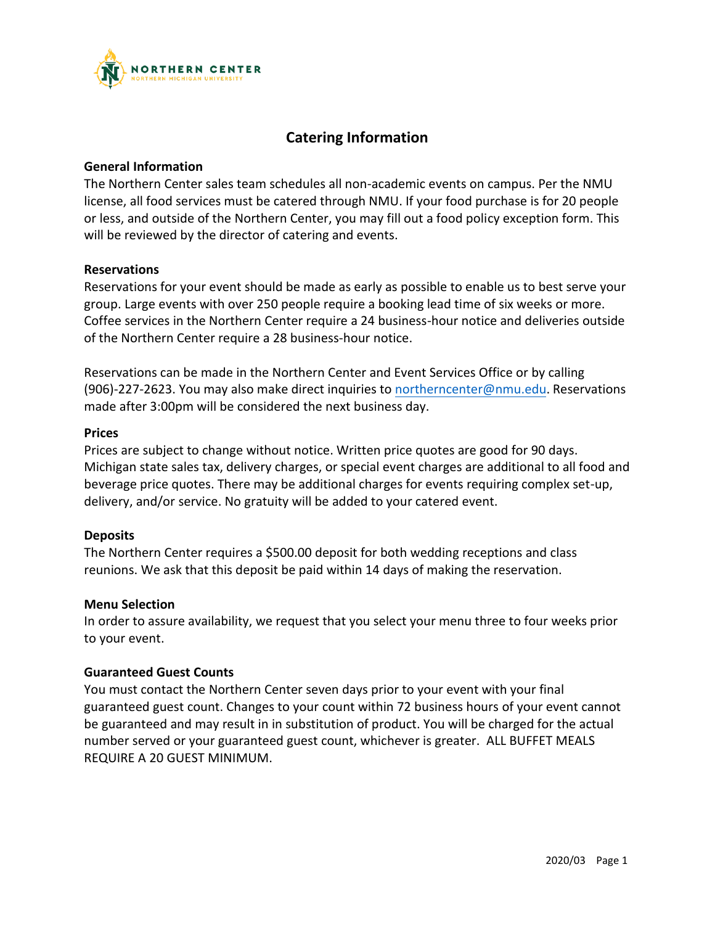

# **Catering Information**

#### **General Information**

The Northern Center sales team schedules all non-academic events on campus. Per the NMU license, all food services must be catered through NMU. If your food purchase is for 20 people or less, and outside of the Northern Center, you may fill out a food policy exception form. This will be reviewed by the director of catering and events.

#### **Reservations**

Reservations for your event should be made as early as possible to enable us to best serve your group. Large events with over 250 people require a booking lead time of six weeks or more. Coffee services in the Northern Center require a 24 business-hour notice and deliveries outside of the Northern Center require a 28 business-hour notice.

Reservations can be made in the Northern Center and Event Services Office or by calling (906)-227-2623. You may also make direct inquiries to [northerncenter@nmu.edu.](mailto:northerncenter@nmu.edu) Reservations made after 3:00pm will be considered the next business day.

#### **Prices**

Prices are subject to change without notice. Written price quotes are good for 90 days. Michigan state sales tax, delivery charges, or special event charges are additional to all food and beverage price quotes. There may be additional charges for events requiring complex set-up, delivery, and/or service. No gratuity will be added to your catered event.

#### **Deposits**

The Northern Center requires a \$500.00 deposit for both wedding receptions and class reunions. We ask that this deposit be paid within 14 days of making the reservation.

#### **Menu Selection**

In order to assure availability, we request that you select your menu three to four weeks prior to your event.

#### **Guaranteed Guest Counts**

You must contact the Northern Center seven days prior to your event with your final guaranteed guest count. Changes to your count within 72 business hours of your event cannot be guaranteed and may result in in substitution of product. You will be charged for the actual number served or your guaranteed guest count, whichever is greater. ALL BUFFET MEALS REQUIRE A 20 GUEST MINIMUM.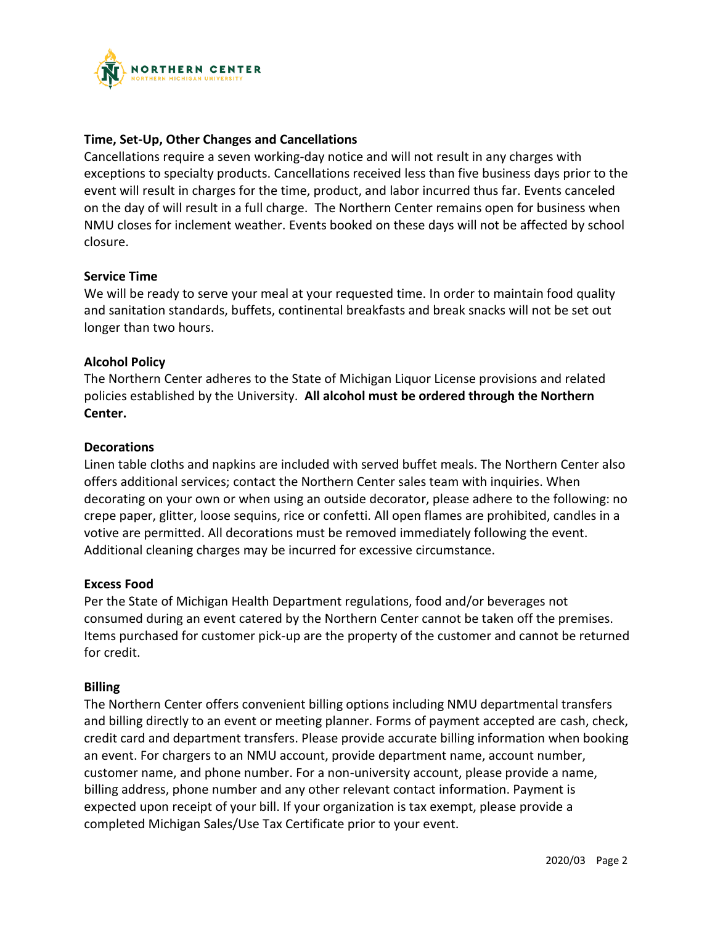

## **Time, Set-Up, Other Changes and Cancellations**

Cancellations require a seven working-day notice and will not result in any charges with exceptions to specialty products. Cancellations received less than five business days prior to the event will result in charges for the time, product, and labor incurred thus far. Events canceled on the day of will result in a full charge. The Northern Center remains open for business when NMU closes for inclement weather. Events booked on these days will not be affected by school closure.

#### **Service Time**

We will be ready to serve your meal at your requested time. In order to maintain food quality and sanitation standards, buffets, continental breakfasts and break snacks will not be set out longer than two hours.

### **Alcohol Policy**

The Northern Center adheres to the State of Michigan Liquor License provisions and related policies established by the University. **All alcohol must be ordered through the Northern Center.**

#### **Decorations**

Linen table cloths and napkins are included with served buffet meals. The Northern Center also offers additional services; contact the Northern Center sales team with inquiries. When decorating on your own or when using an outside decorator, please adhere to the following: no crepe paper, glitter, loose sequins, rice or confetti. All open flames are prohibited, candles in a votive are permitted. All decorations must be removed immediately following the event. Additional cleaning charges may be incurred for excessive circumstance.

#### **Excess Food**

Per the State of Michigan Health Department regulations, food and/or beverages not consumed during an event catered by the Northern Center cannot be taken off the premises. Items purchased for customer pick-up are the property of the customer and cannot be returned for credit.

#### **Billing**

The Northern Center offers convenient billing options including NMU departmental transfers and billing directly to an event or meeting planner. Forms of payment accepted are cash, check, credit card and department transfers. Please provide accurate billing information when booking an event. For chargers to an NMU account, provide department name, account number, customer name, and phone number. For a non-university account, please provide a name, billing address, phone number and any other relevant contact information. Payment is expected upon receipt of your bill. If your organization is tax exempt, please provide a completed Michigan Sales/Use Tax Certificate prior to your event.